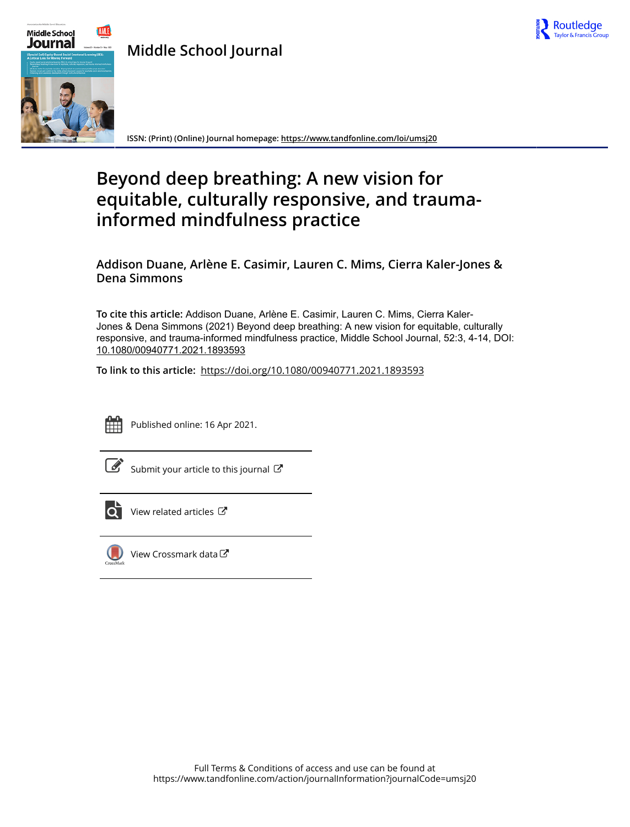

**Middle School Journal**



**ISSN: (Print) (Online) Journal homepage:<https://www.tandfonline.com/loi/umsj20>**

# **Beyond deep breathing: A new vision for equitable, culturally responsive, and traumainformed mindfulness practice**

**Addison Duane, Arlène E. Casimir, Lauren C. Mims, Cierra Kaler-Jones & Dena Simmons**

**To cite this article:** Addison Duane, Arlène E. Casimir, Lauren C. Mims, Cierra Kaler-Jones & Dena Simmons (2021) Beyond deep breathing: A new vision for equitable, culturally responsive, and trauma-informed mindfulness practice, Middle School Journal, 52:3, 4-14, DOI: [10.1080/00940771.2021.1893593](https://www.tandfonline.com/action/showCitFormats?doi=10.1080/00940771.2021.1893593)

**To link to this article:** <https://doi.org/10.1080/00940771.2021.1893593>



Published online: 16 Apr 2021.

[Submit your article to this journal](https://www.tandfonline.com/action/authorSubmission?journalCode=umsj20&show=instructions)  $\mathbb{Z}$ 



[View related articles](https://www.tandfonline.com/doi/mlt/10.1080/00940771.2021.1893593)  $\mathbb{Z}$ 



[View Crossmark data](http://crossmark.crossref.org/dialog/?doi=10.1080/00940771.2021.1893593&domain=pdf&date_stamp=2021-04-16)  $\sigma$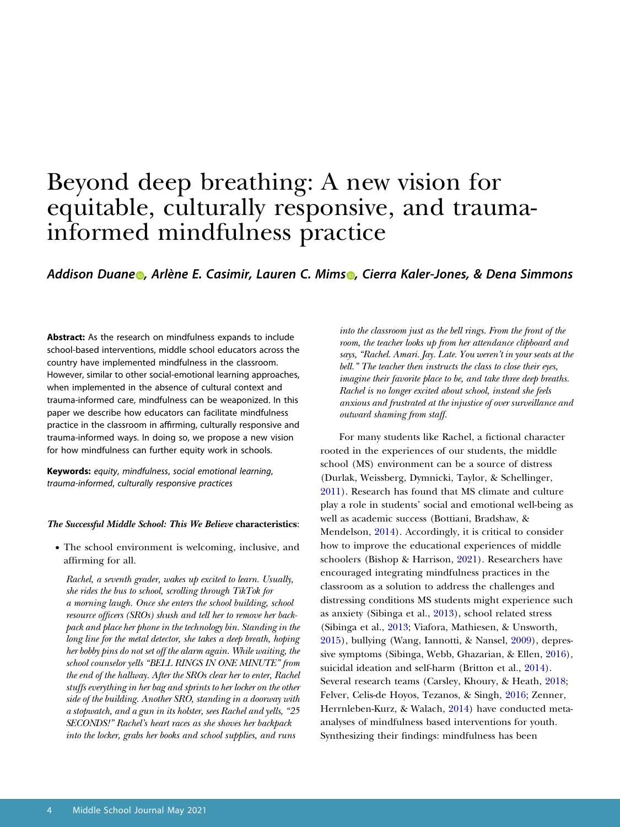# Beyond deep breathing: A new vision for equitable, culturally responsive, and traumainformed mindfulness practice

## *Addison Duan[e](http://orcid.org/0000-0002-0105-1235) , Arlène E. Casimir, Lauren C. Mim[s](http://orcid.org/0000-0002-4801-5311) , Cierra Kaler-Jones, & Dena Simmons*

**Abstract:** As the research on mindfulness expands to include school-based interventions, middle school educators across the country have implemented mindfulness in the classroom. However, similar to other social-emotional learning approaches, when implemented in the absence of cultural context and trauma-informed care, mindfulness can be weaponized. In this paper we describe how educators can facilitate mindfulness practice in the classroom in affirming, culturally responsive and trauma-informed ways. In doing so, we propose a new vision for how mindfulness can further equity work in schools.

**Keywords:** *equity*, *mindfulness*, *social emotional learning*, *trauma-informed*, *culturally responsive practices*

#### *The Successful Middle School: This We Believe* **characteristics**:

• The school environment is welcoming, inclusive, and affirming for all.

*Rachel, a seventh grader, wakes up excited to learn. Usually, she rides the bus to school, scrolling through TikTok for a morning laugh. Once she enters the school building, school resource officers (SROs) shush and tell her to remove her backpack and place her phone in the technology bin. Standing in the long line for the metal detector, she takes a deep breath, hoping her bobby pins do not set off the alarm again. While waiting, the school counselor yells "BELL RINGS IN ONE MINUTE" from the end of the hallway. After the SROs clear her to enter, Rachel stuffs everything in her bag and sprints to her locker on the other side of the building. Another SRO, standing in a doorway with a stopwatch, and a gun in its holster, sees Rachel and yells, "25 SECONDS!" Rachel's heart races as she shoves her backpack into the locker, grabs her books and school supplies, and runs* 

*into the classroom just as the bell rings. From the front of the room, the teacher looks up from her attendance clipboard and says, "Rachel. Amari. Jay. Late. You weren't in your seats at the bell." The teacher then instructs the class to close their eyes, imagine their favorite place to be, and take three deep breaths. Rachel is no longer excited about school, instead she feels anxious and frustrated at the injustice of over surveillance and outward shaming from staff.* 

<span id="page-1-9"></span><span id="page-1-8"></span><span id="page-1-7"></span><span id="page-1-6"></span><span id="page-1-5"></span><span id="page-1-4"></span><span id="page-1-3"></span><span id="page-1-2"></span><span id="page-1-1"></span><span id="page-1-0"></span>For many students like Rachel, a fictional character rooted in the experiences of our students, the middle school (MS) environment can be a source of distress (Durlak, Weissberg, Dymnicki, Taylor, & Schellinger, [2011\)](#page-10-0). Research has found that MS climate and culture play a role in students' social and emotional well-being as well as academic success (Bottiani, Bradshaw, & Mendelson, [2014\)](#page-9-0). Accordingly, it is critical to consider how to improve the educational experiences of middle schoolers (Bishop & Harrison, [2021\)](#page-9-1). Researchers have encouraged integrating mindfulness practices in the classroom as a solution to address the challenges and distressing conditions MS students might experience such as anxiety (Sibinga et al., [2013\)](#page-11-0), school related stress (Sibinga et al., [2013](#page-11-0); Viafora, Mathiesen, & Unsworth, [2015\)](#page-11-1), bullying (Wang, Iannotti, & Nansel, [2009](#page-11-2)), depressive symptoms (Sibinga, Webb, Ghazarian, & Ellen, [2016](#page-11-3)), suicidal ideation and self-harm (Britton et al., [2014](#page-9-2)). Several research teams (Carsley, Khoury, & Heath, [2018;](#page-10-1) Felver, Celis-de Hoyos, Tezanos, & Singh, [2016;](#page-10-2) Zenner, Herrnleben-Kurz, & Walach, [2014](#page-11-4)) have conducted metaanalyses of mindfulness based interventions for youth. Synthesizing their findings: mindfulness has been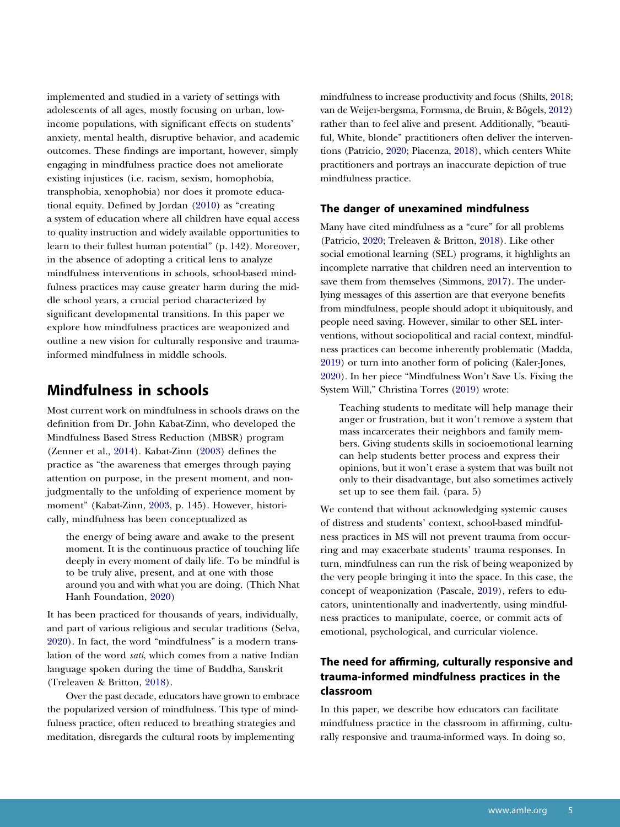<span id="page-2-0"></span>implemented and studied in a variety of settings with adolescents of all ages, mostly focusing on urban, lowincome populations, with significant effects on students' anxiety, mental health, disruptive behavior, and academic outcomes. These findings are important, however, simply engaging in mindfulness practice does not ameliorate existing injustices (i.e. racism, sexism, homophobia, transphobia, xenophobia) nor does it promote educational equity. Defined by Jordan [\(2010](#page-10-3)) as "creating a system of education where all children have equal access to quality instruction and widely available opportunities to learn to their fullest human potential" (p. 142). Moreover, in the absence of adopting a critical lens to analyze mindfulness interventions in schools, school-based mindfulness practices may cause greater harm during the middle school years, a crucial period characterized by significant developmental transitions. In this paper we explore how mindfulness practices are weaponized and outline a new vision for culturally responsive and traumainformed mindfulness in middle schools.

## **Mindfulness in schools**

Most current work on mindfulness in schools draws on the definition from Dr. John Kabat-Zinn, who developed the Mindfulness Based Stress Reduction (MBSR) program (Zenner et al., [2014\)](#page-11-4). Kabat-Zinn ([2003](#page-10-4)) defines the practice as "the awareness that emerges through paying attention on purpose, in the present moment, and nonjudgmentally to the unfolding of experience moment by moment" (Kabat-Zinn, [2003](#page-10-4), p. 145). However, historically, mindfulness has been conceptualized as

<span id="page-2-1"></span>the energy of being aware and awake to the present moment. It is the continuous practice of touching life deeply in every moment of daily life. To be mindful is to be truly alive, present, and at one with those around you and with what you are doing. (Thich Nhat Hanh Foundation, [2020\)](#page-11-5)

<span id="page-2-10"></span><span id="page-2-7"></span>It has been practiced for thousands of years, individually, and part of various religious and secular traditions (Selva, [2020\)](#page-11-6). In fact, the word "mindfulness" is a modern translation of the word *sati*, which comes from a native Indian language spoken during the time of Buddha, Sanskrit (Treleaven & Britton, [2018\)](#page-11-7).

Over the past decade, educators have grown to embrace the popularized version of mindfulness. This type of mindfulness practice, often reduced to breathing strategies and meditation, disregards the cultural roots by implementing

<span id="page-2-12"></span><span id="page-2-8"></span><span id="page-2-6"></span>mindfulness to increase productivity and focus (Shilts, [2018;](#page-11-8) van de Weijer-bergsma, Formsma, de Bruin, & Bögels, [2012\)](#page-11-9) rather than to feel alive and present. Additionally, "beautiful, White, blonde" practitioners often deliver the interventions (Patricio, [2020](#page-10-5); Piacenza, [2018\)](#page-11-10), which centers White practitioners and portrays an inaccurate depiction of true mindfulness practice.

#### **The danger of unexamined mindfulness**

<span id="page-2-9"></span><span id="page-2-5"></span>Many have cited mindfulness as a "cure" for all problems (Patricio, [2020;](#page-10-5) Treleaven & Britton, [2018\)](#page-11-7). Like other social emotional learning (SEL) programs, it highlights an incomplete narrative that children need an intervention to save them from themselves (Simmons, [2017](#page-11-11)). The underlying messages of this assertion are that everyone benefits from mindfulness, people should adopt it ubiquitously, and people need saving. However, similar to other SEL interventions, without sociopolitical and racial context, mindfulness practices can become inherently problematic (Madda, [2019](#page-10-6)) or turn into another form of policing (Kaler-Jones, [2020](#page-10-7)). In her piece "Mindfulness Won't Save Us. Fixing the System Will," Christina Torres [\(2019\)](#page-11-12) wrote:

<span id="page-2-11"></span><span id="page-2-3"></span><span id="page-2-2"></span>Teaching students to meditate will help manage their anger or frustration, but it won't remove a system that mass incarcerates their neighbors and family members. Giving students skills in socioemotional learning can help students better process and express their opinions, but it won't erase a system that was built not only to their disadvantage, but also sometimes actively set up to see them fail. (para. 5)

<span id="page-2-4"></span>We contend that without acknowledging systemic causes of distress and students' context, school-based mindfulness practices in MS will not prevent trauma from occurring and may exacerbate students' trauma responses. In turn, mindfulness can run the risk of being weaponized by the very people bringing it into the space. In this case, the concept of weaponization (Pascale, [2019](#page-10-8)), refers to educators, unintentionally and inadvertently, using mindfulness practices to manipulate, coerce, or commit acts of emotional, psychological, and curricular violence.

## **The need for affirming, culturally responsive and trauma-informed mindfulness practices in the classroom**

In this paper, we describe how educators can facilitate mindfulness practice in the classroom in affirming, culturally responsive and trauma-informed ways. In doing so,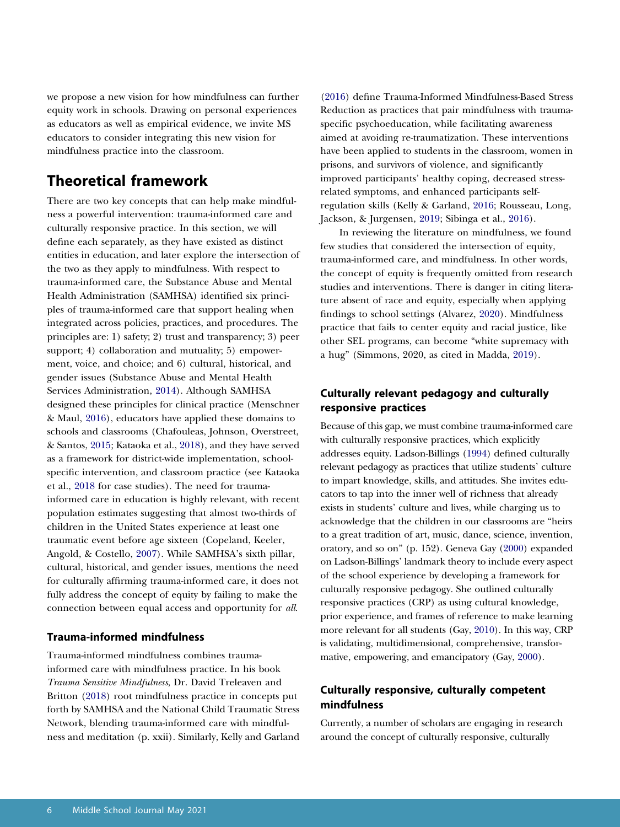we propose a new vision for how mindfulness can further equity work in schools. Drawing on personal experiences as educators as well as empirical evidence, we invite MS educators to consider integrating this new vision for mindfulness practice into the classroom.

# **Theoretical framework**

<span id="page-3-10"></span><span id="page-3-8"></span>There are two key concepts that can help make mindfulness a powerful intervention: trauma-informed care and culturally responsive practice. In this section, we will define each separately, as they have existed as distinct entities in education, and later explore the intersection of the two as they apply to mindfulness. With respect to trauma-informed care, the Substance Abuse and Mental Health Administration (SAMHSA) identified six principles of trauma-informed care that support healing when integrated across policies, practices, and procedures. The principles are: 1) safety; 2) trust and transparency; 3) peer support; 4) collaboration and mutuality; 5) empowerment, voice, and choice; and 6) cultural, historical, and gender issues (Substance Abuse and Mental Health Services Administration, [2014\)](#page-11-13). Although SAMHSA designed these principles for clinical practice (Menschner & Maul, [2016\)](#page-10-9), educators have applied these domains to schools and classrooms (Chafouleas, Johnson, Overstreet, & Santos, [2015](#page-10-10); Kataoka et al., [2018\)](#page-10-11), and they have served as a framework for district-wide implementation, schoolspecific intervention, and classroom practice (see Kataoka et al., [2018](#page-10-11) for case studies). The need for traumainformed care in education is highly relevant, with recent population estimates suggesting that almost two-thirds of children in the United States experience at least one traumatic event before age sixteen (Copeland, Keeler, Angold, & Costello, [2007](#page-10-12)). While SAMHSA's sixth pillar, cultural, historical, and gender issues, mentions the need for culturally affirming trauma-informed care, it does not fully address the concept of equity by failing to make the connection between equal access and opportunity for *all*.

### <span id="page-3-5"></span><span id="page-3-2"></span><span id="page-3-1"></span>**Trauma-informed mindfulness**

Trauma-informed mindfulness combines traumainformed care with mindfulness practice. In his book *Trauma Sensitive Mindfulness*, Dr. David Treleaven and Britton ([2018\)](#page-11-7) root mindfulness practice in concepts put forth by SAMHSA and the National Child Traumatic Stress Network, blending trauma-informed care with mindfulness and meditation (p. xxii). Similarly, Kelly and Garland [\(2016\)](#page-10-13) define Trauma-Informed Mindfulness-Based Stress Reduction as practices that pair mindfulness with traumaspecific psychoeducation, while facilitating awareness aimed at avoiding re-traumatization. These interventions have been applied to students in the classroom, women in prisons, and survivors of violence, and significantly improved participants' healthy coping, decreased stressrelated symptoms, and enhanced participants selfregulation skills (Kelly & Garland, [2016;](#page-10-13) Rousseau, Long, Jackson, & Jurgensen, [2019;](#page-11-14) Sibinga et al., [2016\)](#page-11-3).

<span id="page-3-9"></span><span id="page-3-6"></span><span id="page-3-0"></span>In reviewing the literature on mindfulness, we found few studies that considered the intersection of equity, trauma-informed care, and mindfulness. In other words, the concept of equity is frequently omitted from research studies and interventions. There is danger in citing literature absent of race and equity, especially when applying findings to school settings (Alvarez, [2020\)](#page-9-3). Mindfulness practice that fails to center equity and racial justice, like other SEL programs, can become "white supremacy with a hug" (Simmons, 2020, as cited in Madda, [2019](#page-10-6)).

## **Culturally relevant pedagogy and culturally responsive practices**

<span id="page-3-7"></span>Because of this gap, we must combine trauma-informed care with culturally responsive practices, which explicitly addresses equity. Ladson-Billings [\(1994](#page-10-14)) defined culturally relevant pedagogy as practices that utilize students' culture to impart knowledge, skills, and attitudes. She invites educators to tap into the inner well of richness that already exists in students' culture and lives, while charging us to acknowledge that the children in our classrooms are "heirs to a great tradition of art, music, dance, science, invention, oratory, and so on" (p. 152). Geneva Gay [\(2000\)](#page-10-15) expanded on Ladson-Billings' landmark theory to include every aspect of the school experience by developing a framework for culturally responsive pedagogy. She outlined culturally responsive practices (CRP) as using cultural knowledge, prior experience, and frames of reference to make learning more relevant for all students (Gay, [2010\)](#page-10-16). In this way, CRP is validating, multidimensional, comprehensive, transformative, empowering, and emancipatory (Gay, [2000](#page-10-15)).

## <span id="page-3-4"></span><span id="page-3-3"></span>**Culturally responsive, culturally competent mindfulness**

Currently, a number of scholars are engaging in research around the concept of culturally responsive, culturally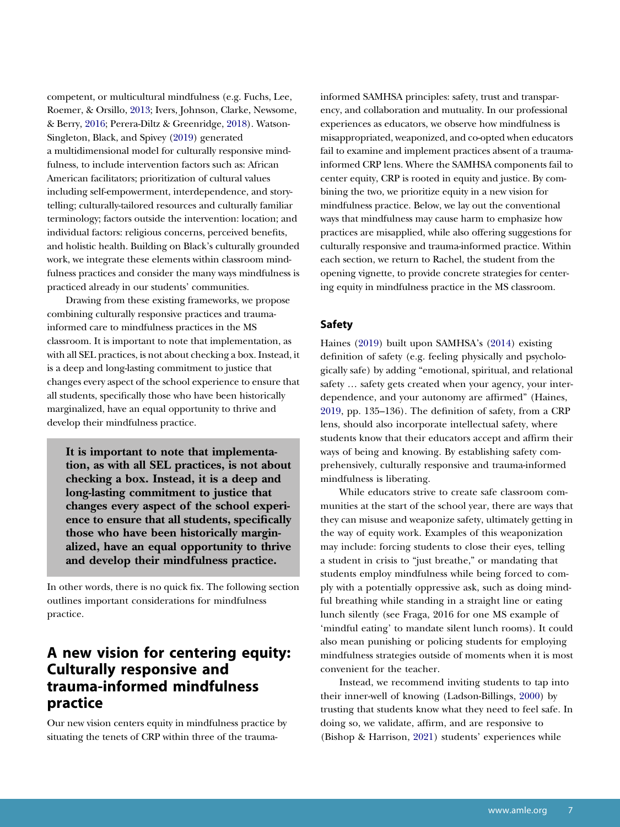<span id="page-4-4"></span><span id="page-4-2"></span><span id="page-4-0"></span>competent, or multicultural mindfulness (e.g. Fuchs, Lee, Roemer, & Orsillo, [2013;](#page-10-17) Ivers, Johnson, Clarke, Newsome, & Berry, [2016;](#page-10-18) Perera-Diltz & Greenridge, [2018\)](#page-10-19). Watson-Singleton, Black, and Spivey ([2019](#page-11-15)) generated a multidimensional model for culturally responsive mindfulness, to include intervention factors such as: African American facilitators; prioritization of cultural values including self-empowerment, interdependence, and storytelling; culturally-tailored resources and culturally familiar terminology; factors outside the intervention: location; and individual factors: religious concerns, perceived benefits, and holistic health. Building on Black's culturally grounded work, we integrate these elements within classroom mindfulness practices and consider the many ways mindfulness is practiced already in our students' communities.

Drawing from these existing frameworks, we propose combining culturally responsive practices and traumainformed care to mindfulness practices in the MS classroom. It is important to note that implementation, as with all SEL practices, is not about checking a box. Instead, it is a deep and long-lasting commitment to justice that changes every aspect of the school experience to ensure that all students, specifically those who have been historically marginalized, have an equal opportunity to thrive and develop their mindfulness practice.

**It is important to note that implementation, as with all SEL practices, is not about checking a box. Instead, it is a deep and long-lasting commitment to justice that changes every aspect of the school experience to ensure that all students, specifically those who have been historically marginalized, have an equal opportunity to thrive and develop their mindfulness practice.** 

In other words, there is no quick fix. The following section outlines important considerations for mindfulness practice.

# **A new vision for centering equity: Culturally responsive and trauma-informed mindfulness practice**

Our new vision centers equity in mindfulness practice by situating the tenets of CRP within three of the traumainformed SAMHSA principles: safety, trust and transparency, and collaboration and mutuality. In our professional experiences as educators, we observe how mindfulness is misappropriated, weaponized, and co-opted when educators fail to examine and implement practices absent of a traumainformed CRP lens. Where the SAMHSA components fail to center equity, CRP is rooted in equity and justice. By combining the two, we prioritize equity in a new vision for mindfulness practice. Below, we lay out the conventional ways that mindfulness may cause harm to emphasize how practices are misapplied, while also offering suggestions for culturally responsive and trauma-informed practice. Within each section, we return to Rachel, the student from the opening vignette, to provide concrete strategies for centering equity in mindfulness practice in the MS classroom.

### **Safety**

<span id="page-4-1"></span>Haines [\(2019\)](#page-10-20) built upon SAMHSA's ([2014\)](#page-11-13) existing definition of safety (e.g. feeling physically and psychologically safe) by adding "emotional, spiritual, and relational safety … safety gets created when your agency, your interdependence, and your autonomy are affirmed" (Haines, [2019,](#page-10-20) pp. 135–136). The definition of safety, from a CRP lens, should also incorporate intellectual safety, where students know that their educators accept and affirm their ways of being and knowing. By establishing safety comprehensively, culturally responsive and trauma-informed mindfulness is liberating.

While educators strive to create safe classroom communities at the start of the school year, there are ways that they can misuse and weaponize safety, ultimately getting in the way of equity work. Examples of this weaponization may include: forcing students to close their eyes, telling a student in crisis to "just breathe," or mandating that students employ mindfulness while being forced to comply with a potentially oppressive ask, such as doing mindful breathing while standing in a straight line or eating lunch silently (see Fraga, 2016 for one MS example of 'mindful eating' to mandate silent lunch rooms). It could also mean punishing or policing students for employing mindfulness strategies outside of moments when it is most convenient for the teacher.

<span id="page-4-3"></span>Instead, we recommend inviting students to tap into their inner-well of knowing (Ladson-Billings, [2000](#page-10-21)) by trusting that students know what they need to feel safe. In doing so, we validate, affirm, and are responsive to (Bishop & Harrison, [2021\)](#page-9-1) students' experiences while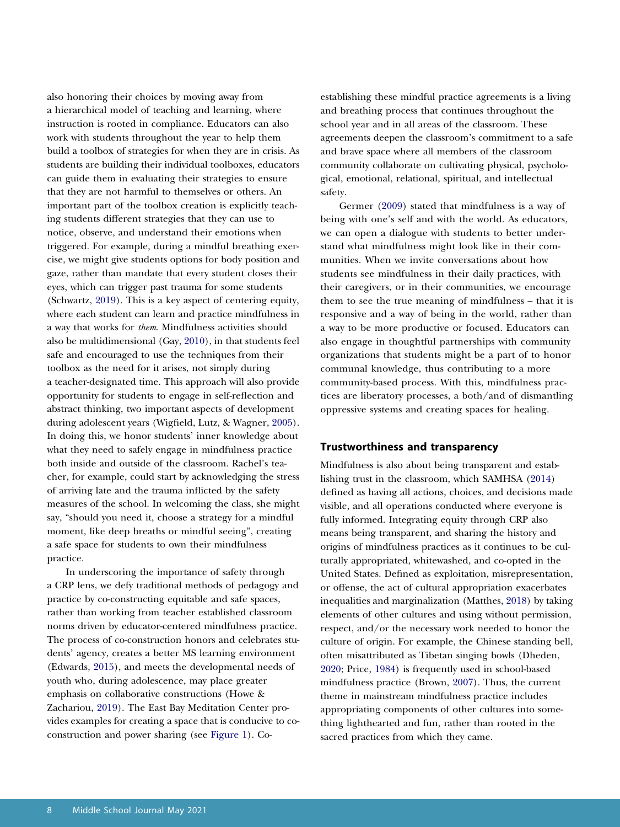<span id="page-5-7"></span>also honoring their choices by moving away from a hierarchical model of teaching and learning, where instruction is rooted in compliance. Educators can also work with students throughout the year to help them build a toolbox of strategies for when they are in crisis. As students are building their individual toolboxes, educators can guide them in evaluating their strategies to ensure that they are not harmful to themselves or others. An important part of the toolbox creation is explicitly teaching students different strategies that they can use to notice, observe, and understand their emotions when triggered. For example, during a mindful breathing exercise, we might give students options for body position and gaze, rather than mandate that every student closes their eyes, which can trigger past trauma for some students (Schwartz, [2019](#page-11-16)). This is a key aspect of centering equity, where each student can learn and practice mindfulness in a way that works for *them*. Mindfulness activities should also be multidimensional (Gay, [2010](#page-10-16)), in that students feel safe and encouraged to use the techniques from their toolbox as the need for it arises, not simply during a teacher-designated time. This approach will also provide opportunity for students to engage in self-reflection and abstract thinking, two important aspects of development during adolescent years (Wigfield, Lutz, & Wagner, [2005](#page-11-17)). In doing this, we honor students' inner knowledge about what they need to safely engage in mindfulness practice both inside and outside of the classroom. Rachel's teacher, for example, could start by acknowledging the stress of arriving late and the trauma inflicted by the safety measures of the school. In welcoming the class, she might say, "should you need it, choose a strategy for a mindful moment, like deep breaths or mindful seeing", creating a safe space for students to own their mindfulness practice.

<span id="page-5-8"></span><span id="page-5-4"></span><span id="page-5-2"></span>In underscoring the importance of safety through a CRP lens, we defy traditional methods of pedagogy and practice by co-constructing equitable and safe spaces, rather than working from teacher established classroom norms driven by educator-centered mindfulness practice. The process of co-construction honors and celebrates students' agency, creates a better MS learning environment (Edwards, [2015](#page-10-22)), and meets the developmental needs of youth who, during adolescence, may place greater emphasis on collaborative constructions (Howe & Zachariou, [2019\)](#page-10-23). The East Bay Meditation Center provides examples for creating a space that is conducive to coconstruction and power sharing (see [Figure 1\)](#page-6-0). Coestablishing these mindful practice agreements is a living and breathing process that continues throughout the school year and in all areas of the classroom. These agreements deepen the classroom's commitment to a safe and brave space where all members of the classroom community collaborate on cultivating physical, psychological, emotional, relational, spiritual, and intellectual safety.

<span id="page-5-3"></span>Germer ([2009\)](#page-10-24) stated that mindfulness is a way of being with one's self and with the world. As educators, we can open a dialogue with students to better understand what mindfulness might look like in their communities. When we invite conversations about how students see mindfulness in their daily practices, with their caregivers, or in their communities, we encourage them to see the true meaning of mindfulness – that it is responsive and a way of being in the world, rather than a way to be more productive or focused. Educators can also engage in thoughtful partnerships with community organizations that students might be a part of to honor communal knowledge, thus contributing to a more community-based process. With this, mindfulness practices are liberatory processes, a both/and of dismantling oppressive systems and creating spaces for healing.

#### **Trustworthiness and transparency**

<span id="page-5-6"></span><span id="page-5-5"></span><span id="page-5-1"></span><span id="page-5-0"></span>Mindfulness is also about being transparent and establishing trust in the classroom, which SAMHSA [\(2014\)](#page-11-13) defined as having all actions, choices, and decisions made visible, and all operations conducted where everyone is fully informed. Integrating equity through CRP also means being transparent, and sharing the history and origins of mindfulness practices as it continues to be culturally appropriated, whitewashed, and co-opted in the United States. Defined as exploitation, misrepresentation, or offense, the act of cultural appropriation exacerbates inequalities and marginalization (Matthes, [2018\)](#page-10-25) by taking elements of other cultures and using without permission, respect, and/or the necessary work needed to honor the culture of origin. For example, the Chinese standing bell, often misattributed as Tibetan singing bowls (Dheden, [2020;](#page-10-26) Price, [1984\)](#page-11-18) is frequently used in school-based mindfulness practice (Brown, [2007](#page-10-27)). Thus, the current theme in mainstream mindfulness practice includes appropriating components of other cultures into something lighthearted and fun, rather than rooted in the sacred practices from which they came.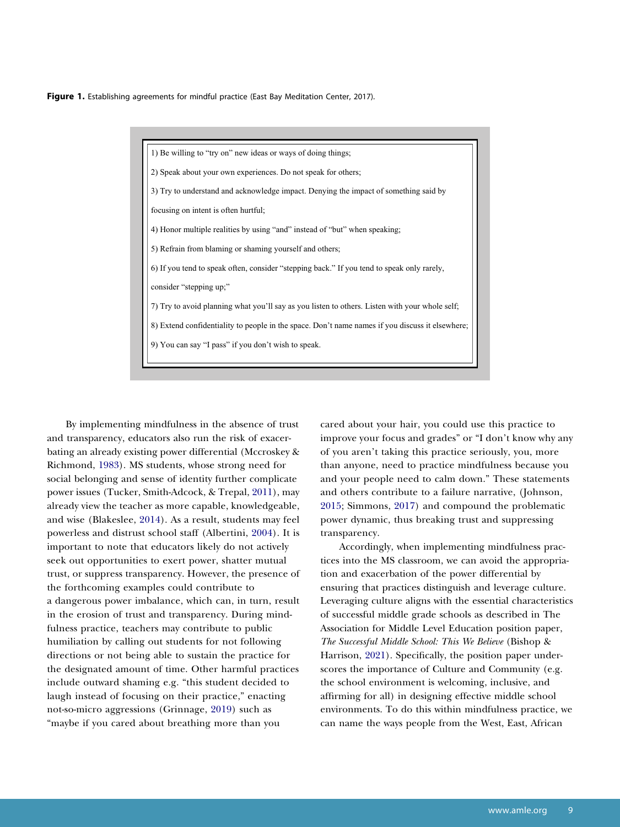Figure 1. Establishing agreements for mindful practice (East Bay Meditation Center, 2017).

1) Be willing to "try on" new ideas or ways of doing things; 2) Speak about your own experiences. Do not speak for others; 3) Try to understand and acknowledge impact. Denying the impact of something said by focusing on intent is often hurtful; 4) Honor multiple realities by using "and" instead of "but" when speaking; 5) Refrain from blaming or shaming yourself and others; 6) If you tend to speak often, consider "stepping back." If you tend to speak only rarely, consider "stepping up;" 7) Try to avoid planning what you'll say as you listen to others. Listen with your whole self; 8) Extend confidentiality to people in the space. Don't name names if you discuss it elsewhere; 9) You can say "I pass" if you don't wish to speak.

<span id="page-6-6"></span><span id="page-6-5"></span><span id="page-6-3"></span><span id="page-6-2"></span><span id="page-6-1"></span><span id="page-6-0"></span>By implementing mindfulness in the absence of trust and transparency, educators also run the risk of exacerbating an already existing power differential (Mccroskey & Richmond, [1983](#page-10-28)). MS students, whose strong need for social belonging and sense of identity further complicate power issues (Tucker, Smith-Adcock, & Trepal, [2011](#page-11-19)), may already view the teacher as more capable, knowledgeable, and wise (Blakeslee, [2014\)](#page-9-4). As a result, students may feel powerless and distrust school staff (Albertini, [2004](#page-9-5)). It is important to note that educators likely do not actively seek out opportunities to exert power, shatter mutual trust, or suppress transparency. However, the presence of the forthcoming examples could contribute to a dangerous power imbalance, which can, in turn, result in the erosion of trust and transparency. During mindfulness practice, teachers may contribute to public humiliation by calling out students for not following directions or not being able to sustain the practice for the designated amount of time. Other harmful practices include outward shaming e.g. "this student decided to laugh instead of focusing on their practice," enacting not-so-micro aggressions (Grinnage, [2019](#page-10-29)) such as "maybe if you cared about breathing more than you

cared about your hair, you could use this practice to improve your focus and grades" or "I don't know why any of you aren't taking this practice seriously, you, more than anyone, need to practice mindfulness because you and your people need to calm down." These statements and others contribute to a failure narrative, (Johnson, [2015](#page-10-30); Simmons, [2017\)](#page-11-11) and compound the problematic power dynamic, thus breaking trust and suppressing transparency.

<span id="page-6-4"></span>Accordingly, when implementing mindfulness practices into the MS classroom, we can avoid the appropriation and exacerbation of the power differential by ensuring that practices distinguish and leverage culture. Leveraging culture aligns with the essential characteristics of successful middle grade schools as described in The Association for Middle Level Education position paper, *The Successful Middle School: This We Believe* (Bishop & Harrison, [2021](#page-9-1)). Specifically, the position paper underscores the importance of Culture and Community (e.g. the school environment is welcoming, inclusive, and affirming for all) in designing effective middle school environments. To do this within mindfulness practice, we can name the ways people from the West, East, African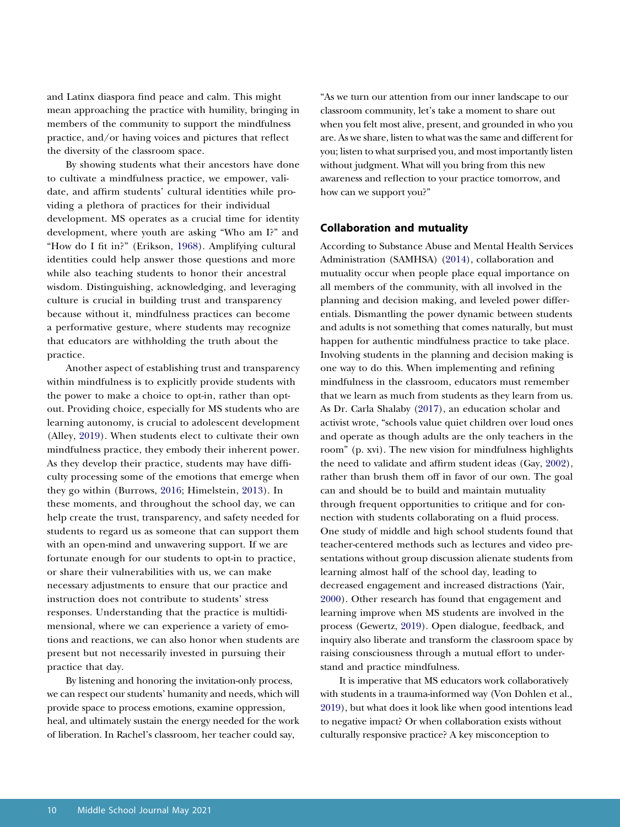and Latinx diaspora find peace and calm. This might mean approaching the practice with humility, bringing in members of the community to support the mindfulness practice, and/or having voices and pictures that reflect the diversity of the classroom space.

<span id="page-7-2"></span>By showing students what their ancestors have done to cultivate a mindfulness practice, we empower, validate, and affirm students' cultural identities while providing a plethora of practices for their individual development. MS operates as a crucial time for identity development, where youth are asking "Who am I?" and "How do I fit in?" (Erikson, [1968\)](#page-10-31). Amplifying cultural identities could help answer those questions and more while also teaching students to honor their ancestral wisdom. Distinguishing, acknowledging, and leveraging culture is crucial in building trust and transparency because without it, mindfulness practices can become a performative gesture, where students may recognize that educators are withholding the truth about the practice.

<span id="page-7-1"></span><span id="page-7-0"></span>Another aspect of establishing trust and transparency within mindfulness is to explicitly provide students with the power to make a choice to opt-in, rather than optout. Providing choice, especially for MS students who are learning autonomy, is crucial to adolescent development (Alley, [2019\)](#page-9-6). When students elect to cultivate their own mindfulness practice, they embody their inherent power. As they develop their practice, students may have difficulty processing some of the emotions that emerge when they go within (Burrows, [2016;](#page-10-32) Himelstein, [2013](#page-10-33)). In these moments, and throughout the school day, we can help create the trust, transparency, and safety needed for students to regard us as someone that can support them with an open-mind and unwavering support. If we are fortunate enough for our students to opt-in to practice, or share their vulnerabilities with us, we can make necessary adjustments to ensure that our practice and instruction does not contribute to students' stress responses. Understanding that the practice is multidimensional, where we can experience a variety of emotions and reactions, we can also honor when students are present but not necessarily invested in pursuing their practice that day.

By listening and honoring the invitation-only process, we can respect our students' humanity and needs, which will provide space to process emotions, examine oppression, heal, and ultimately sustain the energy needed for the work of liberation. In Rachel's classroom, her teacher could say,

"As we turn our attention from our inner landscape to our classroom community, let's take a moment to share out when you felt most alive, present, and grounded in who you are. As we share, listen to what was the same and different for you; listen to what surprised you, and most importantly listen without judgment. What will you bring from this new awareness and reflection to your practice tomorrow, and how can we support you?"

#### **Collaboration and mutuality**

<span id="page-7-4"></span>According to Substance Abuse and Mental Health Services Administration (SAMHSA) ([2014\)](#page-11-13), collaboration and mutuality occur when people place equal importance on all members of the community, with all involved in the planning and decision making, and leveled power differentials. Dismantling the power dynamic between students and adults is not something that comes naturally, but must happen for authentic mindfulness practice to take place. Involving students in the planning and decision making is one way to do this. When implementing and refining mindfulness in the classroom, educators must remember that we learn as much from students as they learn from us. As Dr. Carla Shalaby [\(2017](#page-11-20)), an education scholar and activist wrote, "schools value quiet children over loud ones and operate as though adults are the only teachers in the room" (p. xvi). The new vision for mindfulness highlights the need to validate and affirm student ideas (Gay, [2002](#page-10-15)), rather than brush them off in favor of our own. The goal can and should be to build and maintain mutuality through frequent opportunities to critique and for connection with students collaborating on a fluid process. One study of middle and high school students found that teacher-centered methods such as lectures and video presentations without group discussion alienate students from learning almost half of the school day, leading to decreased engagement and increased distractions (Yair, [2000\)](#page-11-21). Other research has found that engagement and learning improve when MS students are involved in the process (Gewertz, [2019\)](#page-10-34). Open dialogue, feedback, and inquiry also liberate and transform the classroom space by raising consciousness through a mutual effort to understand and practice mindfulness.

<span id="page-7-6"></span><span id="page-7-5"></span><span id="page-7-3"></span>It is imperative that MS educators work collaboratively with students in a trauma-informed way (Von Dohlen et al., [2019](#page-11-22)), but what does it look like when good intentions lead to negative impact? Or when collaboration exists without culturally responsive practice? A key misconception to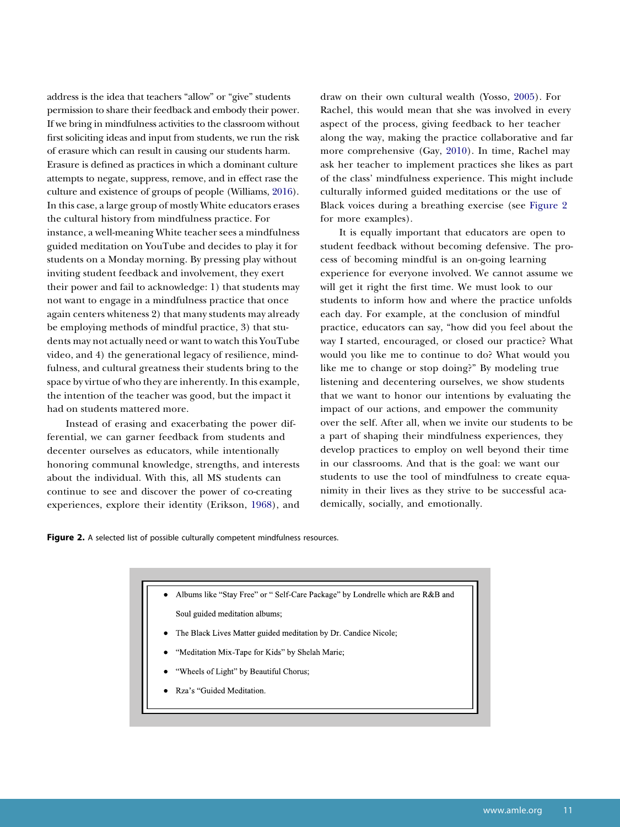<span id="page-8-1"></span>address is the idea that teachers "allow" or "give" students permission to share their feedback and embody their power. If we bring in mindfulness activities to the classroom without first soliciting ideas and input from students, we run the risk of erasure which can result in causing our students harm. Erasure is defined as practices in which a dominant culture attempts to negate, suppress, remove, and in effect rase the culture and existence of groups of people (Williams, [2016](#page-11-23)). In this case, a large group of mostly White educators erases the cultural history from mindfulness practice. For instance, a well-meaning White teacher sees a mindfulness guided meditation on YouTube and decides to play it for students on a Monday morning. By pressing play without inviting student feedback and involvement, they exert their power and fail to acknowledge: 1) that students may not want to engage in a mindfulness practice that once again centers whiteness 2) that many students may already be employing methods of mindful practice, 3) that students may not actually need or want to watch this YouTube video, and 4) the generational legacy of resilience, mindfulness, and cultural greatness their students bring to the space by virtue of who they are inherently. In this example, the intention of the teacher was good, but the impact it had on students mattered more.

Instead of erasing and exacerbating the power differential, we can garner feedback from students and decenter ourselves as educators, while intentionally honoring communal knowledge, strengths, and interests about the individual. With this, all MS students can continue to see and discover the power of co-creating experiences, explore their identity (Erikson, [1968\)](#page-10-31), and <span id="page-8-2"></span>draw on their own cultural wealth (Yosso, [2005](#page-11-24)). For Rachel, this would mean that she was involved in every aspect of the process, giving feedback to her teacher along the way, making the practice collaborative and far more comprehensive (Gay, [2010\)](#page-10-16). In time, Rachel may ask her teacher to implement practices she likes as part of the class' mindfulness experience. This might include culturally informed guided meditations or the use of Black voices during a breathing exercise (see [Figure 2](#page-8-0)  for more examples).

It is equally important that educators are open to student feedback without becoming defensive. The process of becoming mindful is an on-going learning experience for everyone involved. We cannot assume we will get it right the first time. We must look to our students to inform how and where the practice unfolds each day. For example, at the conclusion of mindful practice, educators can say, "how did you feel about the way I started, encouraged, or closed our practice? What would you like me to continue to do? What would you like me to change or stop doing?" By modeling true listening and decentering ourselves, we show students that we want to honor our intentions by evaluating the impact of our actions, and empower the community over the self. After all, when we invite our students to be a part of shaping their mindfulness experiences, they develop practices to employ on well beyond their time in our classrooms. And that is the goal: we want our students to use the tool of mindfulness to create equanimity in their lives as they strive to be successful academically, socially, and emotionally.



Albums like "Stay Free" or " Self-Care Package" by Londrelle which are R&B and

Soul guided meditation albums;

- The Black Lives Matter guided meditation by Dr. Candice Nicole;
- "Meditation Mix-Tape for Kids" by Shelah Marie;
- "Wheels of Light" by Beautiful Chorus;
- <span id="page-8-0"></span>Rza's "Guided Meditation.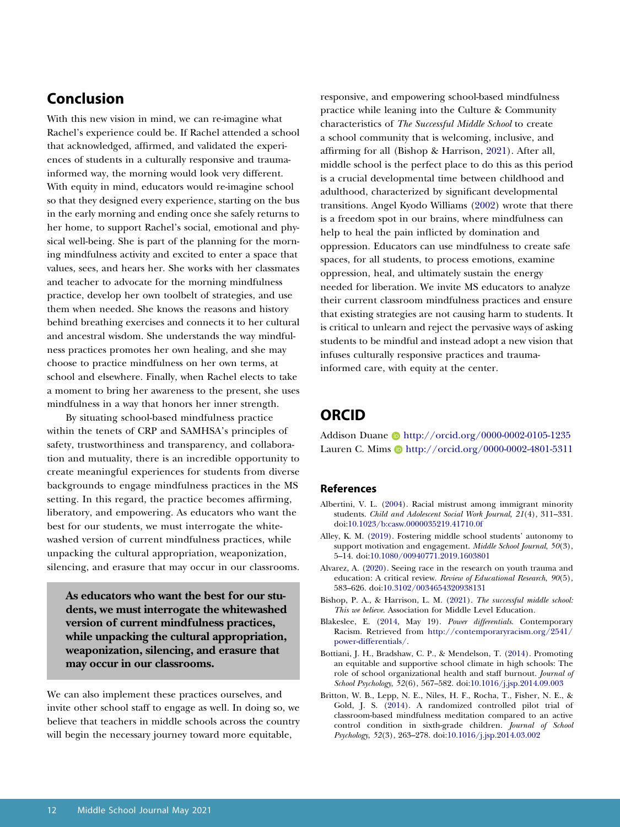# **Conclusion**

With this new vision in mind, we can re-imagine what Rachel's experience could be. If Rachel attended a school that acknowledged, affirmed, and validated the experiences of students in a culturally responsive and traumainformed way, the morning would look very different. With equity in mind, educators would re-imagine school so that they designed every experience, starting on the bus in the early morning and ending once she safely returns to her home, to support Rachel's social, emotional and physical well-being. She is part of the planning for the morning mindfulness activity and excited to enter a space that values, sees, and hears her. She works with her classmates and teacher to advocate for the morning mindfulness practice, develop her own toolbelt of strategies, and use them when needed. She knows the reasons and history behind breathing exercises and connects it to her cultural and ancestral wisdom. She understands the way mindfulness practices promotes her own healing, and she may choose to practice mindfulness on her own terms, at school and elsewhere. Finally, when Rachel elects to take a moment to bring her awareness to the present, she uses mindfulness in a way that honors her inner strength.

By situating school-based mindfulness practice within the tenets of CRP and SAMHSA's principles of safety, trustworthiness and transparency, and collaboration and mutuality, there is an incredible opportunity to create meaningful experiences for students from diverse backgrounds to engage mindfulness practices in the MS setting. In this regard, the practice becomes affirming, liberatory, and empowering. As educators who want the best for our students, we must interrogate the whitewashed version of current mindfulness practices, while unpacking the cultural appropriation, weaponization, silencing, and erasure that may occur in our classrooms.

**As educators who want the best for our students, we must interrogate the whitewashed version of current mindfulness practices, while unpacking the cultural appropriation, weaponization, silencing, and erasure that may occur in our classrooms.** 

We can also implement these practices ourselves, and invite other school staff to engage as well. In doing so, we believe that teachers in middle schools across the country will begin the necessary journey toward more equitable,

<span id="page-9-7"></span>responsive, and empowering school-based mindfulness practice while leaning into the Culture & Community characteristics of *The Successful Middle School* to create a school community that is welcoming, inclusive, and affirming for all (Bishop & Harrison, [2021\)](#page-9-1). After all, middle school is the perfect place to do this as this period is a crucial developmental time between childhood and adulthood, characterized by significant developmental transitions. Angel Kyodo Williams ([2002\)](#page-11-25) wrote that there is a freedom spot in our brains, where mindfulness can help to heal the pain inflicted by domination and oppression. Educators can use mindfulness to create safe spaces, for all students, to process emotions, examine oppression, heal, and ultimately sustain the energy needed for liberation. We invite MS educators to analyze their current classroom mindfulness practices and ensure that existing strategies are not causing harm to students. It is critical to unlearn and reject the pervasive ways of asking students to be mindful and instead adopt a new vision that infuses culturally responsive practices and traumainformed care, with equity at the center.

# **ORCID**

Addison Duane http://orcid.org/0000-0002-0105-1235 Lauren C. Mims D http://orcid.org/0000-0002-4801-5311

### **References**

- <span id="page-9-5"></span>Albertini, V. L. ([2004](#page-6-1)). Racial mistrust among immigrant minority students. *Child and Adolescent Social Work Journal*, *21*(4), 311–331. doi:[10.1023/b:casw.0000035219.41710.0f](http://dx.doi.org/10.1023/b:casw.0000035219.41710.0f)
- <span id="page-9-6"></span>Alley, K. M. [\(2019\)](#page-7-0). Fostering middle school students' autonomy to support motivation and engagement. *Middle School Journal*, *50*(3), 5–14. doi:[10.1080/00940771.2019.1603801](http://dx.doi.org/10.1080/00940771.2019.1603801)
- <span id="page-9-3"></span>Alvarez, A. [\(2020](#page-3-0)). Seeing race in the research on youth trauma and education: A critical review. *Review of Educational Research*, *90*(5), 583–626. doi:[10.3102/0034654320938131](http://dx.doi.org/10.3102/0034654320938131)
- <span id="page-9-1"></span>Bishop, P. A., & Harrison, L. M. ([2021](#page-1-0)). *The successful middle school: This we believe*. Association for Middle Level Education.
- <span id="page-9-4"></span>Blakeslee, E. [\(2014,](#page-6-2) May 19). *Power differentials*. Contemporary Racism. Retrieved from [http://contemporaryracism.org/2541/](http://contemporaryracism.org/2541/power-differentials/) [power-differentials/.](http://contemporaryracism.org/2541/power-differentials/)
- <span id="page-9-0"></span>Bottiani, J. H., Bradshaw, C. P., & Mendelson, T. ([2014](#page-1-1)). Promoting an equitable and supportive school climate in high schools: The role of school organizational health and staff burnout. *Journal of School Psychology*, *52*(6), 567–582. doi:[10.1016/j.jsp.2014.09.003](http://dx.doi.org/10.1016/j.jsp.2014.09.003)
- <span id="page-9-2"></span>Britton, W. B., Lepp, N. E., Niles, H. F., Rocha, T., Fisher, N. E., & Gold, J. S. [\(2014\)](#page-1-2). A randomized controlled pilot trial of classroom-based mindfulness meditation compared to an active control condition in sixth-grade children. *Journal of School Psychology*, *52*(3), 263–278. doi:[10.1016/j.jsp.2014.03.002](http://dx.doi.org/10.1016/j.jsp.2014.03.002)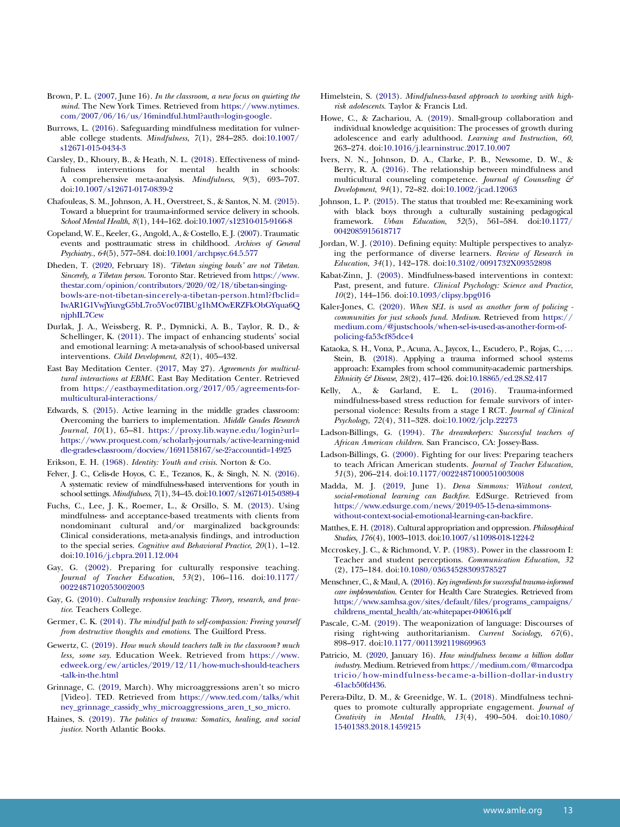- <span id="page-10-27"></span>Brown, P. L. [\(2007,](#page-5-0) June 16). *In the classroom, a new focus on quieting the mind*. The New York Times. Retrieved from [https://www.nytimes.](https://www.nytimes.com/2007/06/16/us/16mindful.html?auth=login-google) [com/2007/06/16/us/16mindful.html?auth=login-google](https://www.nytimes.com/2007/06/16/us/16mindful.html?auth=login-google).
- <span id="page-10-32"></span>Burrows, L. [\(2016\)](#page-7-1). Safeguarding mindfulness meditation for vulnerable college students. *Mindfulness*, *7*(1), 284–285. doi:[10.1007/](http://dx.doi.org/10.1007/s12671-015-0434-3)  [s12671-015-0434-3](http://dx.doi.org/10.1007/s12671-015-0434-3)
- <span id="page-10-1"></span>Carsley, D., Khoury, B., & Heath, N. L. ([2018\)](#page-1-3). Effectiveness of mind-<br>fulness interventions for mental health in schools: mental health in schools: A comprehensive meta-analysis. *Mindfulness*, *9*(3), 693–707. doi:[10.1007/s12671-017-0839-2](http://dx.doi.org/10.1007/s12671-017-0839-2)
- <span id="page-10-10"></span>Chafouleas, S. M., Johnson, A. H., Overstreet, S., & Santos, N. M. ([2015\)](#page-3-1). Toward a blueprint for trauma-informed service delivery in schools. *School Mental Health*, *8*(1), 144–162. doi:[10.1007/s12310-015-9166-8](http://dx.doi.org/10.1007/s12310-015-9166-8)
- <span id="page-10-12"></span>Copeland, W. E., Keeler, G., Angold, A., & Costello, E. J. [\(2007\)](#page-3-2). Traumatic events and posttraumatic stress in childhood. *Archives of General Psychiatry.*, *64*(5), 577–584. doi:[10.1001/archpsyc.64.5.577](http://dx.doi.org/10.1001/archpsyc.64.5.577)
- <span id="page-10-26"></span>Dheden, T. [\(2020](#page-5-1), February 18). *'Tibetan singing bowls' are not Tibetan. Sincerely, a Tibetan person*. Toronto Star. Retrieved from [https://www.](https://www.thestar.com/opinion/contributors/2020/02/18/tibetan-singing-bowls-are-not-tibetan-sincerely-a-tibetan-person.html?fbclid=IwAR1G1VwjYiuvgG5bL7ro5Voc07IBUg1hMOwERZFkObGYqua6QnjphIL7Cew)  [thestar.com/opinion/contributors/2020/02/18/tibetan-singing](https://www.thestar.com/opinion/contributors/2020/02/18/tibetan-singing-bowls-are-not-tibetan-sincerely-a-tibetan-person.html?fbclid=IwAR1G1VwjYiuvgG5bL7ro5Voc07IBUg1hMOwERZFkObGYqua6QnjphIL7Cew)[bowls-are-not-tibetan-sincerely-a-tibetan-person.html?fbclid=](https://www.thestar.com/opinion/contributors/2020/02/18/tibetan-singing-bowls-are-not-tibetan-sincerely-a-tibetan-person.html?fbclid=IwAR1G1VwjYiuvgG5bL7ro5Voc07IBUg1hMOwERZFkObGYqua6QnjphIL7Cew) [IwAR1G1VwjYiuvgG5bL7ro5Voc07IBUg1hMOwERZFkObGYqua6Q](https://www.thestar.com/opinion/contributors/2020/02/18/tibetan-singing-bowls-are-not-tibetan-sincerely-a-tibetan-person.html?fbclid=IwAR1G1VwjYiuvgG5bL7ro5Voc07IBUg1hMOwERZFkObGYqua6QnjphIL7Cew)  [njphIL7Cew](https://www.thestar.com/opinion/contributors/2020/02/18/tibetan-singing-bowls-are-not-tibetan-sincerely-a-tibetan-person.html?fbclid=IwAR1G1VwjYiuvgG5bL7ro5Voc07IBUg1hMOwERZFkObGYqua6QnjphIL7Cew)
- <span id="page-10-0"></span>Durlak, J. A., Weissberg, R. P., Dymnicki, A. B., Taylor, R. D., & Schellinger, K. ([2011](#page-1-4)). The impact of enhancing students' social and emotional learning: A meta-analysis of school-based universal interventions. *Child Development*, *82*(1), 405–432.
- East Bay Meditation Center. (2017, May 27). *Agreements for multicultural interactions at EBMC*. East Bay Meditation Center. Retrieved from [https://eastbaymeditation.org/2017/05/agreements-for](https://eastbaymeditation.org/2017/05/agreements-for-multicultural-interactions/)[multicultural-interactions/](https://eastbaymeditation.org/2017/05/agreements-for-multicultural-interactions/)
- <span id="page-10-22"></span>Edwards, S. [\(2015](#page-5-2)). Active learning in the middle grades classroom: Overcoming the barriers to implementation. *Middle Grades Research Journal*, *10*(1), 65–81. [https://proxy.lib.wayne.edu/login?url=](https://proxy.lib.wayne.edu/login?url=https://www.proquest.com/scholarly-journals/active-learning-middle-grades-classroom/docview/1691158167/se-2?accountid=14925) [https://www.proquest.com/scholarly-journals/active-learning-mid](https://proxy.lib.wayne.edu/login?url=https://www.proquest.com/scholarly-journals/active-learning-middle-grades-classroom/docview/1691158167/se-2?accountid=14925)  [dle-grades-classroom/docview/1691158167/se-2?accountid=14925](https://proxy.lib.wayne.edu/login?url=https://www.proquest.com/scholarly-journals/active-learning-middle-grades-classroom/docview/1691158167/se-2?accountid=14925)

<span id="page-10-31"></span>Erikson, E. H. ([1968\)](#page-7-2). *Identity: Youth and crisis*. Norton & Co.

- <span id="page-10-2"></span>Felver, J. C., Celis-de Hoyos, C. E., Tezanos, K., & Singh, N. N. [\(2016\)](#page-1-5). A systematic review of mindfulness-based interventions for youth in school settings. *Mindfulness*, *7*(1), 34–45. doi:[10.1007/s12671-015-0389-4](http://dx.doi.org/10.1007/s12671-015-0389-4)
- <span id="page-10-17"></span>Fuchs, C., Lee, J. K., Roemer, L., & Orsillo, S. M. [\(2013](#page-4-0)). Using mindfulness- and acceptance-based treatments with clients from nondominant cultural and/or marginalized backgrounds: Clinical considerations, meta-analysis findings, and introduction to the special series. *Cognitive and Behavioral Practice*, *20*(1), 1–12. doi:[10.1016/j.cbpra.2011.12.004](http://dx.doi.org/10.1016/j.cbpra.2011.12.004)
- <span id="page-10-15"></span>Gay, G. [\(2002](#page-3-3)). Preparing for culturally responsive teaching. *Journal of Teacher Education*, *53*(2), 106–116. doi:[10.1177/](http://dx.doi.org/10.1177/0022487102053002003) [0022487102053002003](http://dx.doi.org/10.1177/0022487102053002003)
- <span id="page-10-16"></span>Gay, G. ([2010\)](#page-3-4). *Culturally responsive teaching: Theory, research, and practice*. Teachers College.
- <span id="page-10-24"></span>Germer, C. K. ([2014](#page-5-3)). *The mindful path to self-compassion: Freeing yourself from destructive thoughts and emotions*. The Guilford Press.
- <span id="page-10-34"></span>Gewertz, C. ([2019](#page-7-3)). *How much should teachers talk in the classroom? much less, some say*. Education Week. Retrieved from [https://www.](https://www.edweek.org/ew/articles/2019/12/11/how-much-should-teachers-talk-in-the.html) [edweek.org/ew/articles/2019/12/11/how-much-should-teachers](https://www.edweek.org/ew/articles/2019/12/11/how-much-should-teachers-talk-in-the.html)  [-talk-in-the.html](https://www.edweek.org/ew/articles/2019/12/11/how-much-should-teachers-talk-in-the.html)
- <span id="page-10-29"></span>Grinnage, C. [\(2019,](#page-6-3) March). Why microaggressions aren't so micro [Video]. TED. Retrieved from [https://www.ted.com/talks/whit](https://www.ted.com/talks/whitney_grinnage_cassidy_why_microaggressions_aren_t_so_micro) [ney\\_grinnage\\_cassidy\\_why\\_microaggressions\\_aren\\_t\\_so\\_micro](https://www.ted.com/talks/whitney_grinnage_cassidy_why_microaggressions_aren_t_so_micro).
- <span id="page-10-20"></span>Haines, S. [\(2019\)](#page-4-1). *The politics of trauma: Somatics, healing, and social justice*. North Atlantic Books.
- <span id="page-10-33"></span>Himelstein, S. [\(2013\)](#page-7-1). *Mindfulness-based approach to working with highrisk adolescents*. Taylor & Francis Ltd.
- <span id="page-10-23"></span>Howe, C., & Zachariou, A. ([2019](#page-5-4)). Small-group collaboration and individual knowledge acquisition: The processes of growth during adolescence and early adulthood. *Learning and Instruction*, *60*, 263–274. doi:[10.1016/j.learninstruc.2017.10.007](http://dx.doi.org/10.1016/j.learninstruc.2017.10.007)
- <span id="page-10-18"></span>Ivers, N. N., Johnson, D. A., Clarke, P. B., Newsome, D. W., & Berry, R. A. [\(2016\)](#page-4-2). The relationship between mindfulness and multicultural counseling competence. *Journal of Counseling & Development*, *94*(1), 72–82. doi:[10.1002/jcad.12063](http://dx.doi.org/10.1002/jcad.12063)
- <span id="page-10-30"></span>Johnson, L. P. ([2015\)](#page-6-4). The status that troubled me: Re-examining work with black boys through a culturally sustaining pedagogical framework. *Urban Education*, *52*(5), 561–584. doi:[10.1177/](http://dx.doi.org/10.1177/0042085915618717)  [0042085915618717](http://dx.doi.org/10.1177/0042085915618717)
- <span id="page-10-3"></span>Jordan, W. J. [\(2010\)](#page-2-0). Defining equity: Multiple perspectives to analyzing the performance of diverse learners. *Review of Research in Education*, *34*(1), 142–178. doi:[10.3102/0091732X09352898](http://dx.doi.org/10.3102/0091732X09352898)
- <span id="page-10-4"></span>Kabat-Zinn, J. [\(2003\)](#page-2-1). Mindfulness-based interventions in context: Past, present, and future. *Clinical Psychology: Science and Practice*, *10*(2), 144–156. doi:[10.1093/clipsy.bpg016](http://dx.doi.org/10.1093/clipsy.bpg016)
- <span id="page-10-7"></span>Kaler-Jones, C. [\(2020\)](#page-2-2). *When SEL is used as another form of policing communities for just schools fund. Medium*. Retrieved from [https://](https://medium.com/@justschools/when-sel-is-used-as-another-form-of-policing-fa53cf85dce4) [medium.com/@justschools/when-sel-is-used-as-another-form-of](https://medium.com/@justschools/when-sel-is-used-as-another-form-of-policing-fa53cf85dce4)[policing-fa53cf85dce4](https://medium.com/@justschools/when-sel-is-used-as-another-form-of-policing-fa53cf85dce4)
- <span id="page-10-11"></span>Kataoka, S. H., Vona, P., Acuna, A., Jaycox, L., Escudero, P., Rojas, C., … Stein, B. [\(2018\)](#page-3-5). Applying a trauma informed school systems approach: Examples from school community-academic partnerships. *Ethnicity & Disease*, *28*(2), 417–426. doi:[10.18865/ed.28.S2.417](http://dx.doi.org/10.18865/ed.28.S2.417)
- <span id="page-10-13"></span>Kelly, A., & Garland, E. L. ([2016](#page-3-6)). Trauma-informed mindfulness-based stress reduction for female survivors of interpersonal violence: Results from a stage I RCT. *Journal of Clinical Psychology*, *72*(4), 311–328. doi:[10.1002/jclp.22273](http://dx.doi.org/10.1002/jclp.22273)
- <span id="page-10-14"></span>Ladson-Billings, G. ([1994](#page-3-7)). *The dreamkeepers: Successful teachers of African American children*. San Francisco, CA: Jossey-Bass.
- <span id="page-10-21"></span>Ladson-Billings, G. [\(2000\)](#page-4-3). Fighting for our lives: Preparing teachers to teach African American students. *Journal of Teacher Education*, *51*(3), 206–214. doi:[10.1177/0022487100051003008](http://dx.doi.org/10.1177/0022487100051003008)
- <span id="page-10-6"></span>Madda, M. J. ([2019](#page-2-3), June 1). *Dena Simmons: Without context, social-emotional learning can Backfire*. EdSurge. Retrieved from [https://www.edsurge.com/news/2019-05-15-dena-simmons](https://www.edsurge.com/news/2019-05-15-dena-simmons-without-context-social-emotional-learning-can-backfire)[without-context-social-emotional-learning-can-backfire.](https://www.edsurge.com/news/2019-05-15-dena-simmons-without-context-social-emotional-learning-can-backfire)
- <span id="page-10-25"></span>Matthes, E. H. [\(2018\)](#page-5-5). Cultural appropriation and oppression. *Philosophical Studies*, *176*(4), 1003–1013. doi:[10.1007/s11098-018-1224-2](http://dx.doi.org/10.1007/s11098-018-1224-2)
- <span id="page-10-28"></span>Mccroskey, J. C., & Richmond, V. P. ([1983\)](#page-6-5). Power in the classroom I: Teacher and student perceptions. *Communication Education*, *32*  (2), 175–184. doi:[10.1080/03634528309378527](http://dx.doi.org/10.1080/03634528309378527)
- <span id="page-10-9"></span>Menschner, C., & Maul, A. [\(2016\)](#page-3-8). *Key ingredients for successful trauma-informed care implementation*. Center for Health Care Strategies. Retrieved from [https://www.samhsa.gov/sites/default/files/programs\\_campaigns/](https://www.samhsa.gov/sites/default/files/programs_campaigns/childrens_mental_health/atc-whitepaper-040616.pdf)  [childrens\\_mental\\_health/atc-whitepaper-040616.pdf](https://www.samhsa.gov/sites/default/files/programs_campaigns/childrens_mental_health/atc-whitepaper-040616.pdf)
- <span id="page-10-8"></span>Pascale, C.-M. ([2019](#page-2-4)). The weaponization of language: Discourses of rising right-wing authoritarianism. *Current Sociology*, *67*(6), 898–917. doi:[10.1177/0011392119869963](http://dx.doi.org/10.1177/0011392119869963)
- <span id="page-10-5"></span>Patricio, M. ([2020,](#page-2-5) January 16). *How mindfulness became a billion dollar industry*. Medium. Retrieved from [https://medium.com/@marcodpa](https://medium.com/@marcodpatricio/how-mindfulness-became-a-billion-dollar-industry-61acb50fd436)  [tricio/how-mindfulness-became-a-billion-dollar-industry](https://medium.com/@marcodpatricio/how-mindfulness-became-a-billion-dollar-industry-61acb50fd436)  [-61acb50fd436](https://medium.com/@marcodpatricio/how-mindfulness-became-a-billion-dollar-industry-61acb50fd436).
- <span id="page-10-19"></span>Perera-Diltz, D. M., & Greenidge, W. L. [\(2018\)](#page-4-2). Mindfulness techniques to promote culturally appropriate engagement. *Journal of Creativity in Mental Health*, *13*(4), 490–504. doi:[10.1080/](http://dx.doi.org/10.1080/15401383.2018.1459215) [15401383.2018.1459215](http://dx.doi.org/10.1080/15401383.2018.1459215)